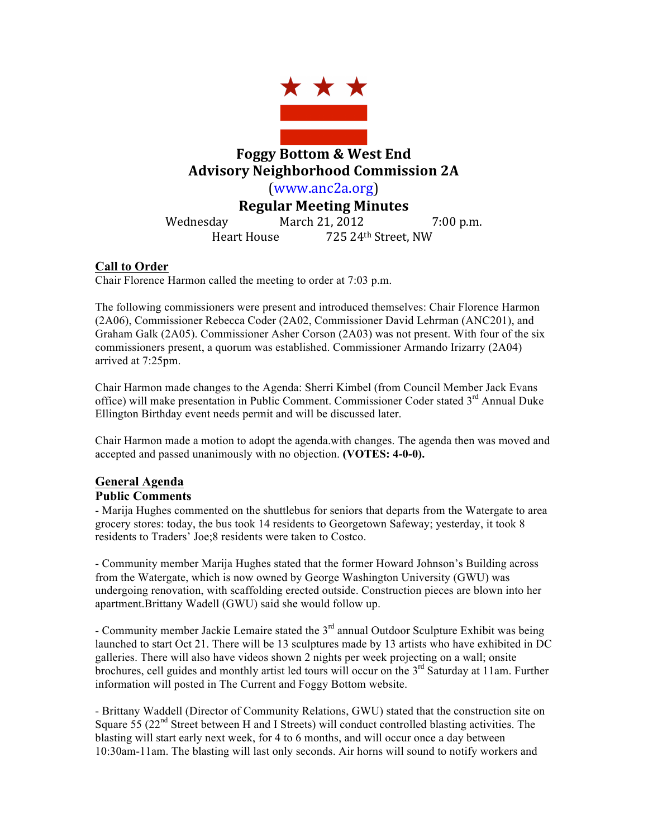

# **Foggy Bottom & West End Advisory Neighborhood Commission 2A**

(www.anc2a.org)

**Regular Meeting Minutes**

Wednesday March 21, 2012 7:00 p.m. Heart House 725 24th Street, NW

### **Call to Order**

Chair Florence Harmon called the meeting to order at 7:03 p.m.

The following commissioners were present and introduced themselves: Chair Florence Harmon (2A06), Commissioner Rebecca Coder (2A02, Commissioner David Lehrman (ANC201), and Graham Galk (2A05). Commissioner Asher Corson (2A03) was not present. With four of the six commissioners present, a quorum was established. Commissioner Armando Irizarry (2A04) arrived at 7:25pm.

Chair Harmon made changes to the Agenda: Sherri Kimbel (from Council Member Jack Evans office) will make presentation in Public Comment. Commissioner Coder stated 3<sup>rd</sup> Annual Duke Ellington Birthday event needs permit and will be discussed later.

Chair Harmon made a motion to adopt the agenda.with changes. The agenda then was moved and accepted and passed unanimously with no objection. **(VOTES: 4-0-0).** 

#### **General Agenda**

#### **Public Comments**

- Marija Hughes commented on the shuttlebus for seniors that departs from the Watergate to area grocery stores: today, the bus took 14 residents to Georgetown Safeway; yesterday, it took 8 residents to Traders' Joe;8 residents were taken to Costco.

- Community member Marija Hughes stated that the former Howard Johnson's Building across from the Watergate, which is now owned by George Washington University (GWU) was undergoing renovation, with scaffolding erected outside. Construction pieces are blown into her apartment.Brittany Wadell (GWU) said she would follow up.

- Community member Jackie Lemaire stated the  $3<sup>rd</sup>$  annual Outdoor Sculpture Exhibit was being launched to start Oct 21. There will be 13 sculptures made by 13 artists who have exhibited in DC galleries. There will also have videos shown 2 nights per week projecting on a wall; onsite brochures, cell guides and monthly artist led tours will occur on the  $3<sup>rd</sup>$  Saturday at 11am. Further information will posted in The Current and Foggy Bottom website.

- Brittany Waddell (Director of Community Relations, GWU) stated that the construction site on Square 55 ( $22<sup>nd</sup>$  Street between H and I Streets) will conduct controlled blasting activities. The blasting will start early next week, for 4 to 6 months, and will occur once a day between 10:30am-11am. The blasting will last only seconds. Air horns will sound to notify workers and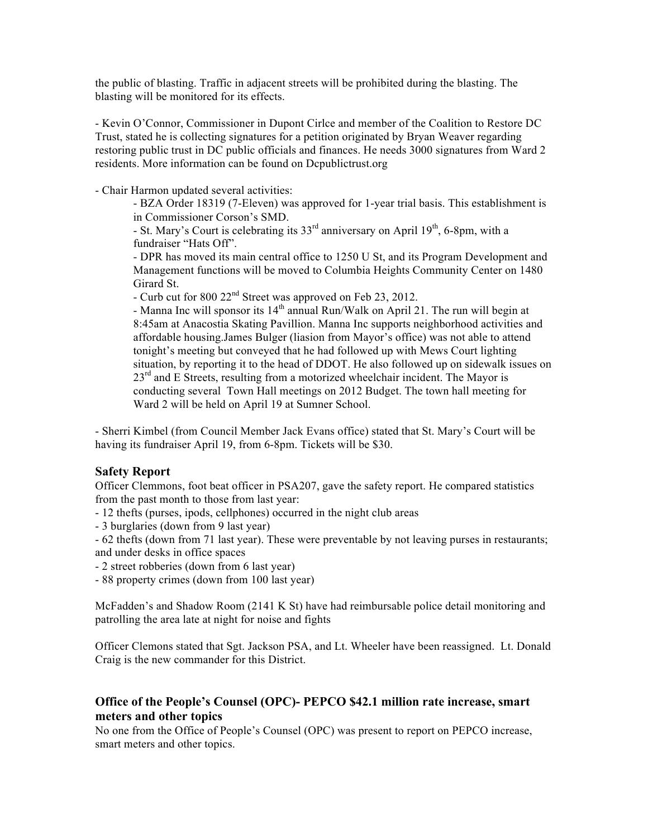the public of blasting. Traffic in adjacent streets will be prohibited during the blasting. The blasting will be monitored for its effects.

- Kevin O'Connor, Commissioner in Dupont Cirlce and member of the Coalition to Restore DC Trust, stated he is collecting signatures for a petition originated by Bryan Weaver regarding restoring public trust in DC public officials and finances. He needs 3000 signatures from Ward 2 residents. More information can be found on Dcpublictrust.org

- Chair Harmon updated several activities:

- BZA Order 18319 (7-Eleven) was approved for 1-year trial basis. This establishment is in Commissioner Corson's SMD.

- St. Mary's Court is celebrating its  $33<sup>rd</sup>$  anniversary on April  $19<sup>th</sup>$ , 6-8pm, with a fundraiser "Hats Off".

- DPR has moved its main central office to 1250 U St, and its Program Development and Management functions will be moved to Columbia Heights Community Center on 1480 Girard St.

- Curb cut for 800 22nd Street was approved on Feb 23, 2012.

- Manna Inc will sponsor its  $14<sup>th</sup>$  annual Run/Walk on April 21. The run will begin at 8:45am at Anacostia Skating Pavillion. Manna Inc supports neighborhood activities and affordable housing.James Bulger (liasion from Mayor's office) was not able to attend tonight's meeting but conveyed that he had followed up with Mews Court lighting situation, by reporting it to the head of DDOT. He also followed up on sidewalk issues on  $23<sup>rd</sup>$  and E Streets, resulting from a motorized wheelchair incident. The Mayor is conducting several Town Hall meetings on 2012 Budget. The town hall meeting for Ward 2 will be held on April 19 at Sumner School.

- Sherri Kimbel (from Council Member Jack Evans office) stated that St. Mary's Court will be having its fundraiser April 19, from 6-8pm. Tickets will be \$30.

#### **Safety Report**

Officer Clemmons, foot beat officer in PSA207, gave the safety report. He compared statistics from the past month to those from last year:

- 12 thefts (purses, ipods, cellphones) occurred in the night club areas

- 3 burglaries (down from 9 last year)

- 62 thefts (down from 71 last year). These were preventable by not leaving purses in restaurants; and under desks in office spaces

- 2 street robberies (down from 6 last year)

- 88 property crimes (down from 100 last year)

McFadden's and Shadow Room (2141 K St) have had reimbursable police detail monitoring and patrolling the area late at night for noise and fights

Officer Clemons stated that Sgt. Jackson PSA, and Lt. Wheeler have been reassigned. Lt. Donald Craig is the new commander for this District.

#### **Office of the People's Counsel (OPC)- PEPCO \$42.1 million rate increase, smart meters and other topics**

No one from the Office of People's Counsel (OPC) was present to report on PEPCO increase, smart meters and other topics.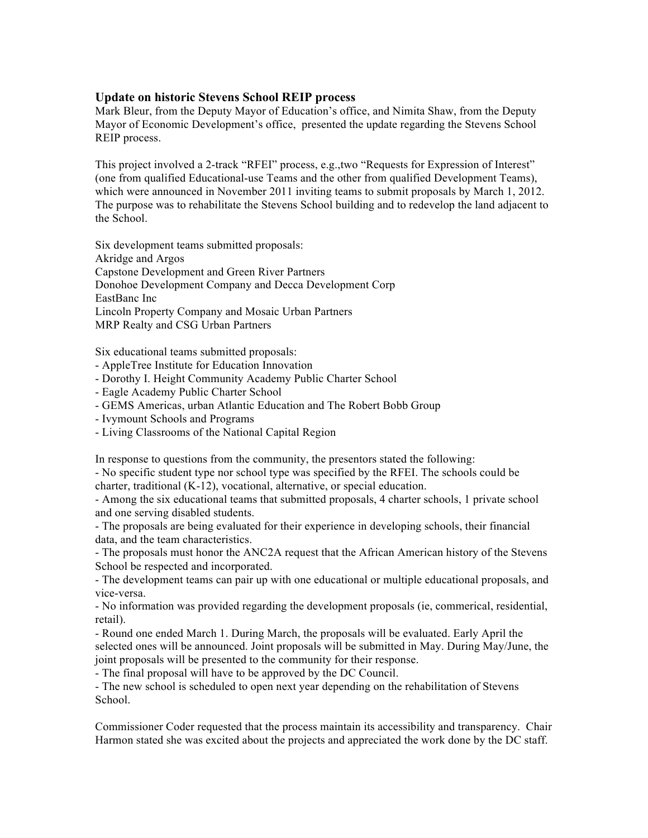#### **Update on historic Stevens School REIP process**

Mark Bleur, from the Deputy Mayor of Education's office, and Nimita Shaw, from the Deputy Mayor of Economic Development's office, presented the update regarding the Stevens School REIP process.

This project involved a 2-track "RFEI" process, e.g.,two "Requests for Expression of Interest" (one from qualified Educational-use Teams and the other from qualified Development Teams), which were announced in November 2011 inviting teams to submit proposals by March 1, 2012. The purpose was to rehabilitate the Stevens School building and to redevelop the land adjacent to the School.

Six development teams submitted proposals: Akridge and Argos Capstone Development and Green River Partners Donohoe Development Company and Decca Development Corp EastBanc Inc Lincoln Property Company and Mosaic Urban Partners MRP Realty and CSG Urban Partners

Six educational teams submitted proposals:

- AppleTree Institute for Education Innovation

- Dorothy I. Height Community Academy Public Charter School
- Eagle Academy Public Charter School
- GEMS Americas, urban Atlantic Education and The Robert Bobb Group
- Ivymount Schools and Programs
- Living Classrooms of the National Capital Region

In response to questions from the community, the presentors stated the following:

- No specific student type nor school type was specified by the RFEI. The schools could be charter, traditional (K-12), vocational, alternative, or special education.

- Among the six educational teams that submitted proposals, 4 charter schools, 1 private school and one serving disabled students.

- The proposals are being evaluated for their experience in developing schools, their financial data, and the team characteristics.

- The proposals must honor the ANC2A request that the African American history of the Stevens School be respected and incorporated.

- The development teams can pair up with one educational or multiple educational proposals, and vice-versa.

- No information was provided regarding the development proposals (ie, commerical, residential, retail).

- Round one ended March 1. During March, the proposals will be evaluated. Early April the selected ones will be announced. Joint proposals will be submitted in May. During May/June, the joint proposals will be presented to the community for their response.

- The final proposal will have to be approved by the DC Council.

- The new school is scheduled to open next year depending on the rehabilitation of Stevens School.

Commissioner Coder requested that the process maintain its accessibility and transparency. Chair Harmon stated she was excited about the projects and appreciated the work done by the DC staff.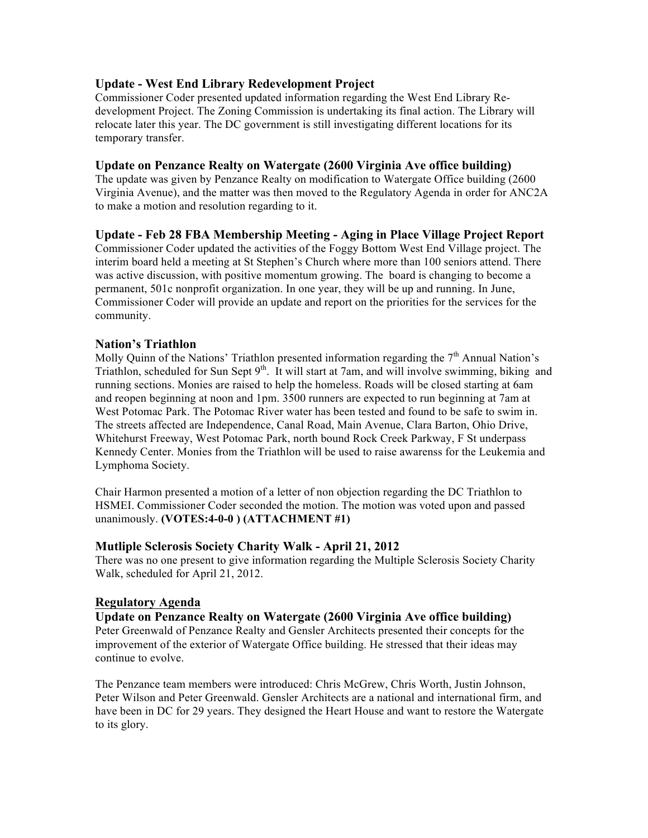#### **Update - West End Library Redevelopment Project**

Commissioner Coder presented updated information regarding the West End Library Redevelopment Project. The Zoning Commission is undertaking its final action. The Library will relocate later this year. The DC government is still investigating different locations for its temporary transfer.

#### **Update on Penzance Realty on Watergate (2600 Virginia Ave office building)**

The update was given by Penzance Realty on modification to Watergate Office building (2600 Virginia Avenue), and the matter was then moved to the Regulatory Agenda in order for ANC2A to make a motion and resolution regarding to it.

#### **Update - Feb 28 FBA Membership Meeting - Aging in Place Village Project Report**

Commissioner Coder updated the activities of the Foggy Bottom West End Village project. The interim board held a meeting at St Stephen's Church where more than 100 seniors attend. There was active discussion, with positive momentum growing. The board is changing to become a permanent, 501c nonprofit organization. In one year, they will be up and running. In June, Commissioner Coder will provide an update and report on the priorities for the services for the community.

### **Nation's Triathlon**

Molly Quinn of the Nations' Triathlon presented information regarding the  $7<sup>th</sup>$  Annual Nation's Triathlon, scheduled for Sun Sept  $9<sup>th</sup>$ . It will start at 7am, and will involve swimming, biking and running sections. Monies are raised to help the homeless. Roads will be closed starting at 6am and reopen beginning at noon and 1pm. 3500 runners are expected to run beginning at 7am at West Potomac Park. The Potomac River water has been tested and found to be safe to swim in. The streets affected are Independence, Canal Road, Main Avenue, Clara Barton, Ohio Drive, Whitehurst Freeway, West Potomac Park, north bound Rock Creek Parkway, F St underpass Kennedy Center. Monies from the Triathlon will be used to raise awarenss for the Leukemia and Lymphoma Society.

Chair Harmon presented a motion of a letter of non objection regarding the DC Triathlon to HSMEI. Commissioner Coder seconded the motion. The motion was voted upon and passed unanimously. **(VOTES:4-0-0 ) (ATTACHMENT #1)**

#### **Mutliple Sclerosis Society Charity Walk - April 21, 2012**

There was no one present to give information regarding the Multiple Sclerosis Society Charity Walk, scheduled for April 21, 2012.

#### **Regulatory Agenda**

#### **Update on Penzance Realty on Watergate (2600 Virginia Ave office building)**

Peter Greenwald of Penzance Realty and Gensler Architects presented their concepts for the improvement of the exterior of Watergate Office building. He stressed that their ideas may continue to evolve.

The Penzance team members were introduced: Chris McGrew, Chris Worth, Justin Johnson, Peter Wilson and Peter Greenwald. Gensler Architects are a national and international firm, and have been in DC for 29 years. They designed the Heart House and want to restore the Watergate to its glory.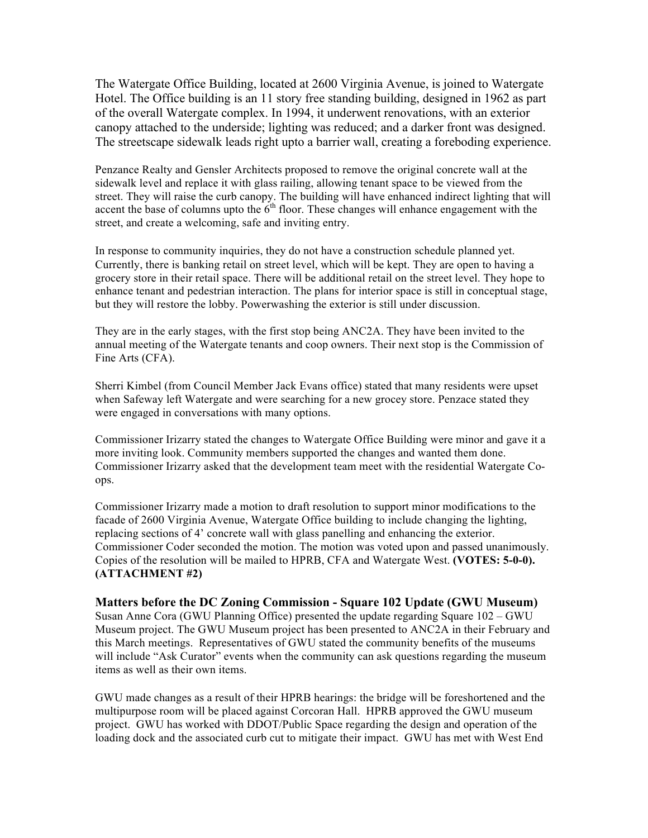The Watergate Office Building, located at 2600 Virginia Avenue, is joined to Watergate Hotel. The Office building is an 11 story free standing building, designed in 1962 as part of the overall Watergate complex. In 1994, it underwent renovations, with an exterior canopy attached to the underside; lighting was reduced; and a darker front was designed. The streetscape sidewalk leads right upto a barrier wall, creating a foreboding experience.

Penzance Realty and Gensler Architects proposed to remove the original concrete wall at the sidewalk level and replace it with glass railing, allowing tenant space to be viewed from the street. They will raise the curb canopy. The building will have enhanced indirect lighting that will accent the base of columns upto the  $\overrightarrow{6}^{th}$  floor. These changes will enhance engagement with the street, and create a welcoming, safe and inviting entry.

In response to community inquiries, they do not have a construction schedule planned yet. Currently, there is banking retail on street level, which will be kept. They are open to having a grocery store in their retail space. There will be additional retail on the street level. They hope to enhance tenant and pedestrian interaction. The plans for interior space is still in conceptual stage, but they will restore the lobby. Powerwashing the exterior is still under discussion.

They are in the early stages, with the first stop being ANC2A. They have been invited to the annual meeting of the Watergate tenants and coop owners. Their next stop is the Commission of Fine Arts (CFA).

Sherri Kimbel (from Council Member Jack Evans office) stated that many residents were upset when Safeway left Watergate and were searching for a new grocey store. Penzace stated they were engaged in conversations with many options.

Commissioner Irizarry stated the changes to Watergate Office Building were minor and gave it a more inviting look. Community members supported the changes and wanted them done. Commissioner Irizarry asked that the development team meet with the residential Watergate Coops.

Commissioner Irizarry made a motion to draft resolution to support minor modifications to the facade of 2600 Virginia Avenue, Watergate Office building to include changing the lighting, replacing sections of 4' concrete wall with glass panelling and enhancing the exterior. Commissioner Coder seconded the motion. The motion was voted upon and passed unanimously. Copies of the resolution will be mailed to HPRB, CFA and Watergate West. **(VOTES: 5-0-0). (ATTACHMENT #2)**

#### **Matters before the DC Zoning Commission - Square 102 Update (GWU Museum)**

Susan Anne Cora (GWU Planning Office) presented the update regarding Square 102 – GWU Museum project. The GWU Museum project has been presented to ANC2A in their February and this March meetings. Representatives of GWU stated the community benefits of the museums will include "Ask Curator" events when the community can ask questions regarding the museum items as well as their own items.

GWU made changes as a result of their HPRB hearings: the bridge will be foreshortened and the multipurpose room will be placed against Corcoran Hall. HPRB approved the GWU museum project. GWU has worked with DDOT/Public Space regarding the design and operation of the loading dock and the associated curb cut to mitigate their impact. GWU has met with West End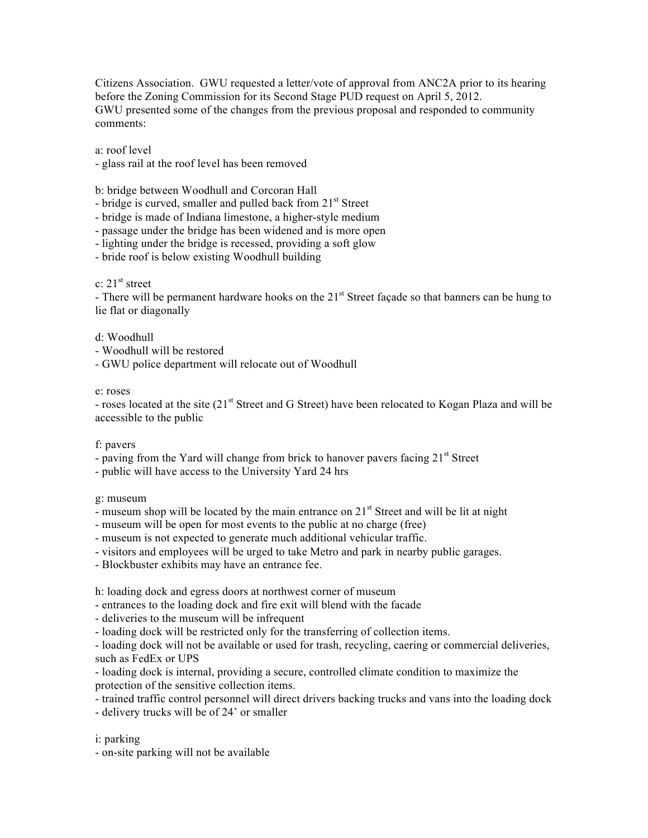Citizens Association. GWU requested a letter/vote of approval from ANC2A prior to its hearing before the Zoning Commission for its Second Stage PUD request on April 5, 2012. GWU presented some of the changes from the previous proposal and responded to community comments:

a: roof level

- glass rail at the roof level has been removed

b: bridge between Woodhull and Corcoran Hall

- bridge is curved, smaller and pulled back from  $21<sup>st</sup>$  Street

- bridge is made of Indiana limestone, a higher-style medium

- passage under the bridge has been widened and is more open

- lighting under the bridge is recessed, providing a soft glow

- bride roof is below existing Woodhull building

c:  $21<sup>st</sup>$  street

- There will be permanent hardware hooks on the  $21<sup>st</sup>$  Street façade so that banners can be hung to lie flat or diagonally

d: Woodhull

- Woodhull will be restored

- GWU police department will relocate out of Woodhull

e: roses

- roses located at the site (21<sup>st</sup> Street and G Street) have been relocated to Kogan Plaza and will be accessible to the public

f: pavers

- paving from the Yard will change from brick to hanover pavers facing  $21<sup>st</sup>$  Street

- public will have access to the University Yard 24 hrs

g: museum

- museum shop will be located by the main entrance on  $21<sup>st</sup>$  Street and will be lit at night

- museum will be open for most events to the public at no charge (free)

- museum is not expected to generate much additional vehicular traffic.

- visitors and employees will be urged to take Metro and park in nearby public garages.

- Blockbuster exhibits may have an entrance fee.

h: loading dock and egress doors at northwest corner of museum

- entrances to the loading dock and fire exit will blend with the facade

- deliveries to the museum will be infrequent

- loading dock will be restricted only for the transferring of collection items.

- loading dock will not be available or used for trash, recycling, caering or commercial deliveries, such as FedEx or UPS

- loading dock is internal, providing a secure, controlled climate condition to maximize the protection of the sensitive collection items.

- trained traffic control personnel will direct drivers backing trucks and vans into the loading dock

- delivery trucks will be of 24' or smaller

i: parking

- on-site parking will not be available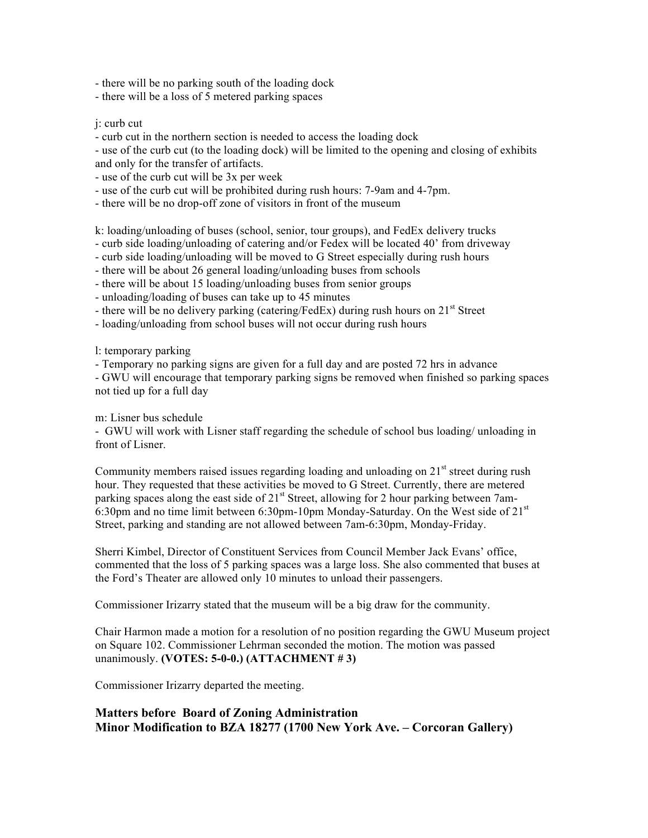- there will be no parking south of the loading dock

- there will be a loss of 5 metered parking spaces

#### j: curb cut

- curb cut in the northern section is needed to access the loading dock

- use of the curb cut (to the loading dock) will be limited to the opening and closing of exhibits and only for the transfer of artifacts.

- use of the curb cut will be 3x per week

- use of the curb cut will be prohibited during rush hours: 7-9am and 4-7pm.

- there will be no drop-off zone of visitors in front of the museum

k: loading/unloading of buses (school, senior, tour groups), and FedEx delivery trucks

- curb side loading/unloading of catering and/or Fedex will be located 40' from driveway

- curb side loading/unloading will be moved to G Street especially during rush hours

- there will be about 26 general loading/unloading buses from schools

- there will be about 15 loading/unloading buses from senior groups

- unloading/loading of buses can take up to 45 minutes

- there will be no delivery parking (catering/FedEx) during rush hours on  $21<sup>st</sup>$  Street

- loading/unloading from school buses will not occur during rush hours

l: temporary parking

- Temporary no parking signs are given for a full day and are posted 72 hrs in advance

- GWU will encourage that temporary parking signs be removed when finished so parking spaces not tied up for a full day

m: Lisner bus schedule

- GWU will work with Lisner staff regarding the schedule of school bus loading/ unloading in front of Lisner.

Community members raised issues regarding loading and unloading on  $21<sup>st</sup>$  street during rush hour. They requested that these activities be moved to G Street. Currently, there are metered parking spaces along the east side of  $21<sup>st</sup>$  Street, allowing for 2 hour parking between 7am-6:30pm and no time limit between 6:30pm-10pm Monday-Saturday. On the West side of  $21<sup>st</sup>$ Street, parking and standing are not allowed between 7am-6:30pm, Monday-Friday.

Sherri Kimbel, Director of Constituent Services from Council Member Jack Evans' office, commented that the loss of 5 parking spaces was a large loss. She also commented that buses at the Ford's Theater are allowed only 10 minutes to unload their passengers.

Commissioner Irizarry stated that the museum will be a big draw for the community.

Chair Harmon made a motion for a resolution of no position regarding the GWU Museum project on Square 102. Commissioner Lehrman seconded the motion. The motion was passed unanimously. **(VOTES: 5-0-0.) (ATTACHMENT # 3)**

Commissioner Irizarry departed the meeting.

### **Matters before Board of Zoning Administration Minor Modification to BZA 18277 (1700 New York Ave. – Corcoran Gallery)**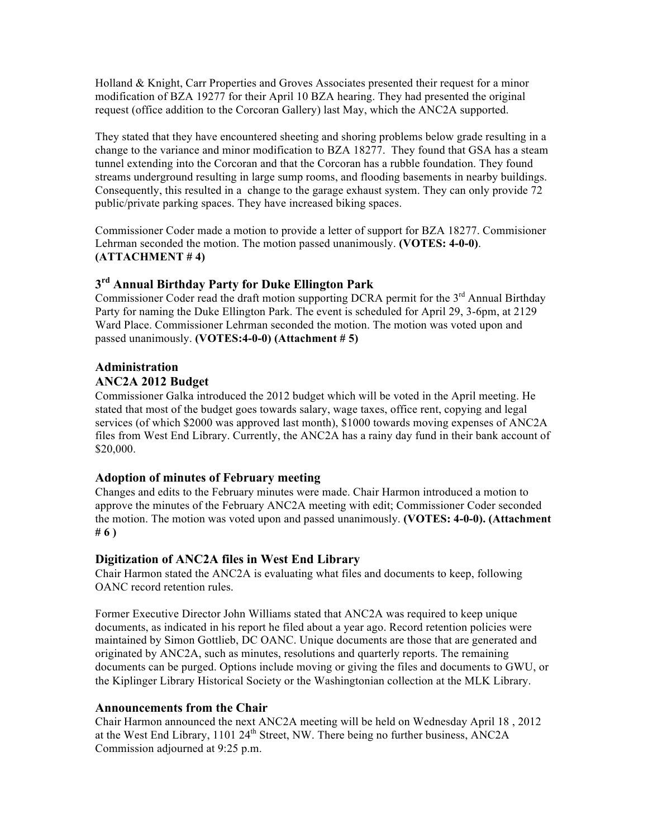Holland & Knight, Carr Properties and Groves Associates presented their request for a minor modification of BZA 19277 for their April 10 BZA hearing. They had presented the original request (office addition to the Corcoran Gallery) last May, which the ANC2A supported.

They stated that they have encountered sheeting and shoring problems below grade resulting in a change to the variance and minor modification to BZA 18277. They found that GSA has a steam tunnel extending into the Corcoran and that the Corcoran has a rubble foundation. They found streams underground resulting in large sump rooms, and flooding basements in nearby buildings. Consequently, this resulted in a change to the garage exhaust system. They can only provide 72 public/private parking spaces. They have increased biking spaces.

Commissioner Coder made a motion to provide a letter of support for BZA 18277. Commisioner Lehrman seconded the motion. The motion passed unanimously. **(VOTES: 4-0-0)**. **(ATTACHMENT # 4)**

### **3rd Annual Birthday Party for Duke Ellington Park**

Commissioner Coder read the draft motion supporting DCRA permit for the  $3<sup>rd</sup>$  Annual Birthday Party for naming the Duke Ellington Park. The event is scheduled for April 29, 3-6pm, at 2129 Ward Place. Commissioner Lehrman seconded the motion. The motion was voted upon and passed unanimously. **(VOTES:4-0-0) (Attachment # 5)**

## **Administration**

#### **ANC2A 2012 Budget**

Commissioner Galka introduced the 2012 budget which will be voted in the April meeting. He stated that most of the budget goes towards salary, wage taxes, office rent, copying and legal services (of which \$2000 was approved last month), \$1000 towards moving expenses of ANC2A files from West End Library. Currently, the ANC2A has a rainy day fund in their bank account of \$20,000.

#### **Adoption of minutes of February meeting**

Changes and edits to the February minutes were made. Chair Harmon introduced a motion to approve the minutes of the February ANC2A meeting with edit; Commissioner Coder seconded the motion. The motion was voted upon and passed unanimously. **(VOTES: 4-0-0). (Attachment # 6 )**

#### **Digitization of ANC2A files in West End Library**

Chair Harmon stated the ANC2A is evaluating what files and documents to keep, following OANC record retention rules.

Former Executive Director John Williams stated that ANC2A was required to keep unique documents, as indicated in his report he filed about a year ago. Record retention policies were maintained by Simon Gottlieb, DC OANC. Unique documents are those that are generated and originated by ANC2A, such as minutes, resolutions and quarterly reports. The remaining documents can be purged. Options include moving or giving the files and documents to GWU, or the Kiplinger Library Historical Society or the Washingtonian collection at the MLK Library.

#### **Announcements from the Chair**

Chair Harmon announced the next ANC2A meeting will be held on Wednesday April 18 , 2012 at the West End Library, 1101  $24<sup>th</sup>$  Street, NW. There being no further business, ANC2A Commission adjourned at 9:25 p.m.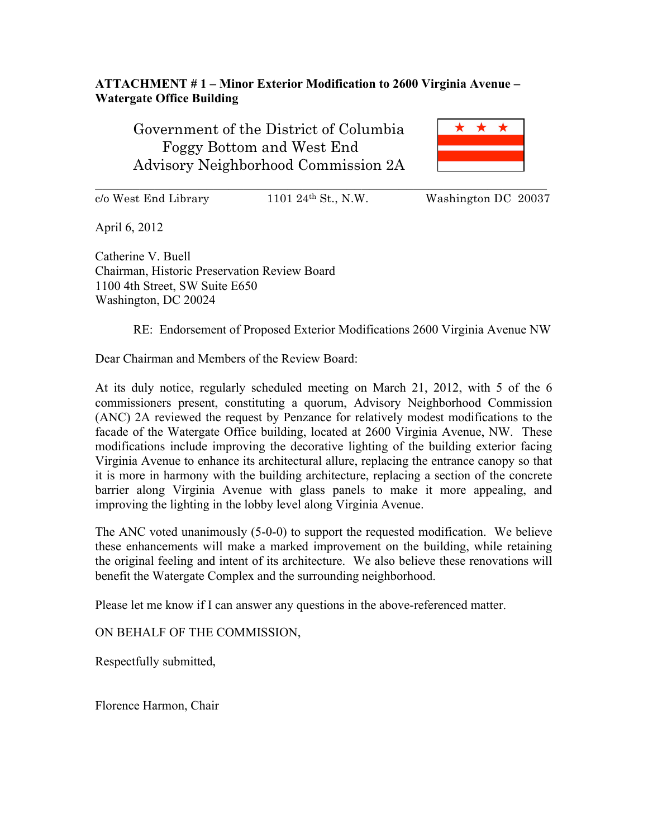### **ATTACHMENT # 1 – Minor Exterior Modification to 2600 Virginia Avenue – Watergate Office Building**

Government of the District of Columbia Foggy Bottom and West End Advisory Neighborhood Commission 2A



 $c/\text{o}$  West End Library 1101 24<sup>th</sup> St., N.W. Washington DC 20037

April 6, 2012

Catherine V. Buell Chairman, Historic Preservation Review Board 1100 4th Street, SW Suite E650 Washington, DC 20024

RE: Endorsement of Proposed Exterior Modifications 2600 Virginia Avenue NW

Dear Chairman and Members of the Review Board:

At its duly notice, regularly scheduled meeting on March 21, 2012, with 5 of the 6 commissioners present, constituting a quorum, Advisory Neighborhood Commission (ANC) 2A reviewed the request by Penzance for relatively modest modifications to the facade of the Watergate Office building, located at 2600 Virginia Avenue, NW. These modifications include improving the decorative lighting of the building exterior facing Virginia Avenue to enhance its architectural allure, replacing the entrance canopy so that it is more in harmony with the building architecture, replacing a section of the concrete barrier along Virginia Avenue with glass panels to make it more appealing, and improving the lighting in the lobby level along Virginia Avenue.

The ANC voted unanimously (5-0-0) to support the requested modification. We believe these enhancements will make a marked improvement on the building, while retaining the original feeling and intent of its architecture. We also believe these renovations will benefit the Watergate Complex and the surrounding neighborhood.

Please let me know if I can answer any questions in the above-referenced matter.

ON BEHALF OF THE COMMISSION,

Respectfully submitted,

Florence Harmon, Chair

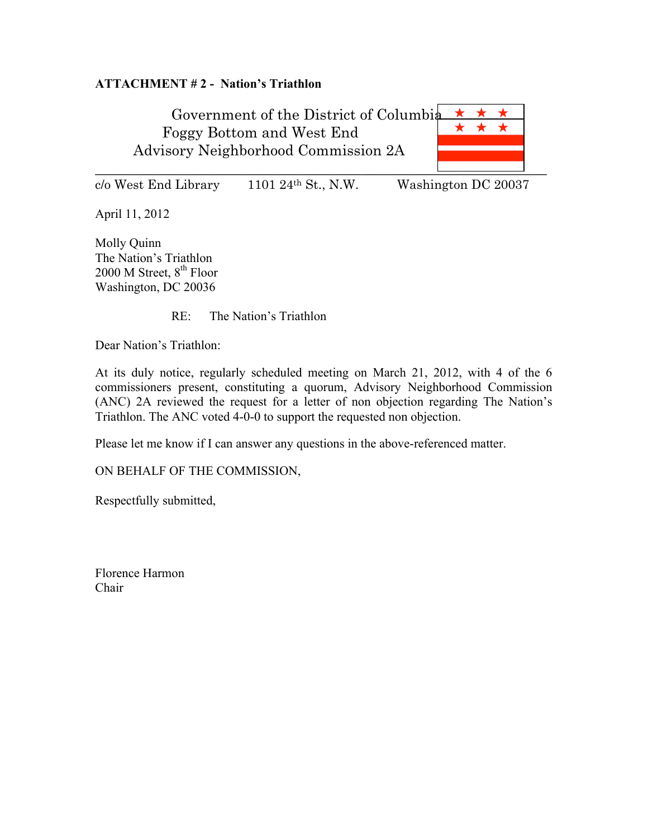### **ATTACHMENT # 2 - Nation's Triathlon**

Government of the District of Columbia Foggy Bottom and West End Advisory Neighborhood Commission 2A  $\overline{\phantom{a}}$  , and the contract of the contract of the contract of the contract of the contract of the contract of the contract of the contract of the contract of the contract of the contract of the contract of the contrac

 $c$ /o West End Library 1101 24<sup>th</sup> St., N.W. Washington DC 20037

April 11, 2012

Molly Quinn The Nation's Triathlon  $2000$  M Street,  $8<sup>th</sup>$  Floor Washington, DC 20036

RE: The Nation's Triathlon

Dear Nation's Triathlon:

At its duly notice, regularly scheduled meeting on March 21, 2012, with 4 of the 6 commissioners present, constituting a quorum, Advisory Neighborhood Commission (ANC) 2A reviewed the request for a letter of non objection regarding The Nation's Triathlon. The ANC voted 4-0-0 to support the requested non objection.

Please let me know if I can answer any questions in the above-referenced matter.

ON BEHALF OF THE COMMISSION,

Respectfully submitted,

Florence Harmon Chair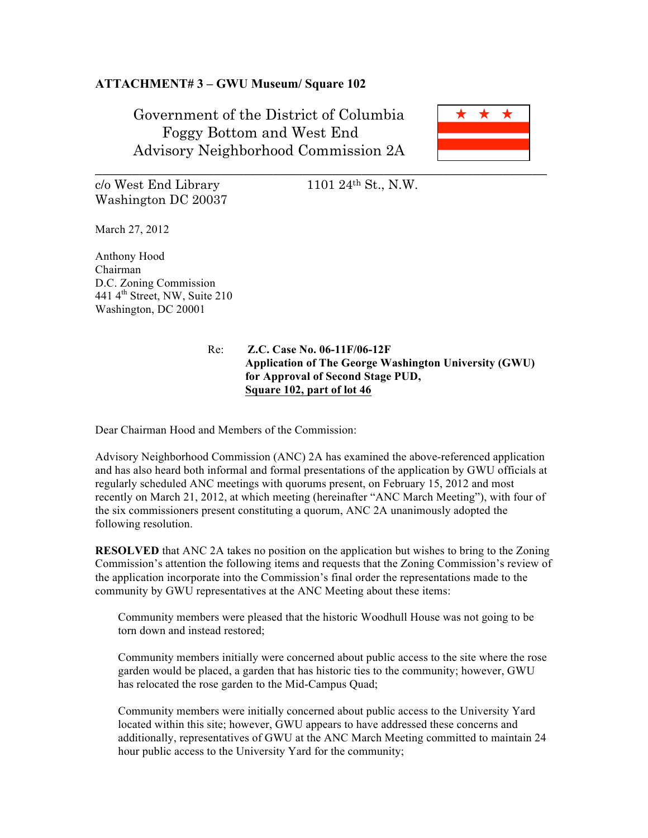#### **ATTACHMENT# 3 – GWU Museum/ Square 102**

Government of the District of Columbia Foggy Bottom and West End Advisory Neighborhood Commission 2A



 $c/\sigma$  West End Library 1101 24<sup>th</sup> St., N.W. Washington DC 20037

March 27, 2012

Anthony Hood Chairman D.C. Zoning Commission 441 4<sup>th</sup> Street, NW, Suite 210 Washington, DC 20001

#### Re: **Z.C. Case No. 06-11F/06-12F Application of The George Washington University (GWU) for Approval of Second Stage PUD, Square 102, part of lot 46**

Dear Chairman Hood and Members of the Commission:

Advisory Neighborhood Commission (ANC) 2A has examined the above-referenced application and has also heard both informal and formal presentations of the application by GWU officials at regularly scheduled ANC meetings with quorums present, on February 15, 2012 and most recently on March 21, 2012, at which meeting (hereinafter "ANC March Meeting"), with four of the six commissioners present constituting a quorum, ANC 2A unanimously adopted the following resolution.

**RESOLVED** that ANC 2A takes no position on the application but wishes to bring to the Zoning Commission's attention the following items and requests that the Zoning Commission's review of the application incorporate into the Commission's final order the representations made to the community by GWU representatives at the ANC Meeting about these items:

Community members were pleased that the historic Woodhull House was not going to be torn down and instead restored;

Community members initially were concerned about public access to the site where the rose garden would be placed, a garden that has historic ties to the community; however, GWU has relocated the rose garden to the Mid-Campus Quad;

Community members were initially concerned about public access to the University Yard located within this site; however, GWU appears to have addressed these concerns and additionally, representatives of GWU at the ANC March Meeting committed to maintain 24 hour public access to the University Yard for the community;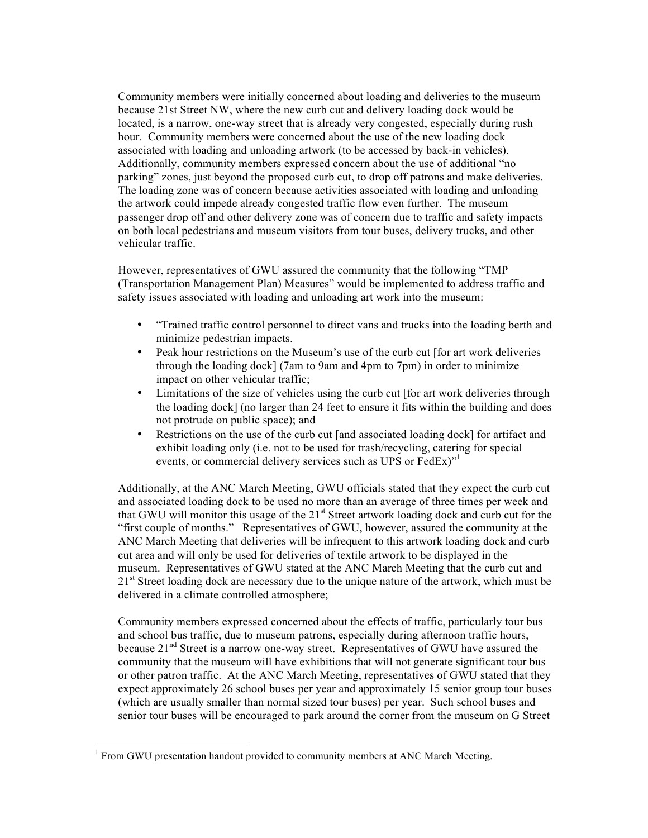Community members were initially concerned about loading and deliveries to the museum because 21st Street NW, where the new curb cut and delivery loading dock would be located, is a narrow, one-way street that is already very congested, especially during rush hour. Community members were concerned about the use of the new loading dock associated with loading and unloading artwork (to be accessed by back-in vehicles). Additionally, community members expressed concern about the use of additional "no parking" zones, just beyond the proposed curb cut, to drop off patrons and make deliveries. The loading zone was of concern because activities associated with loading and unloading the artwork could impede already congested traffic flow even further. The museum passenger drop off and other delivery zone was of concern due to traffic and safety impacts on both local pedestrians and museum visitors from tour buses, delivery trucks, and other vehicular traffic.

However, representatives of GWU assured the community that the following "TMP (Transportation Management Plan) Measures" would be implemented to address traffic and safety issues associated with loading and unloading art work into the museum:

- "Trained traffic control personnel to direct vans and trucks into the loading berth and minimize pedestrian impacts.
- Peak hour restrictions on the Museum's use of the curb cut [for art work deliveries through the loading dock] (7am to 9am and 4pm to 7pm) in order to minimize impact on other vehicular traffic;
- Limitations of the size of vehicles using the curb cut [for art work deliveries through the loading dock] (no larger than 24 feet to ensure it fits within the building and does not protrude on public space); and
- Restrictions on the use of the curb cut [and associated loading dock] for artifact and exhibit loading only (i.e. not to be used for trash/recycling, catering for special events, or commercial delivery services such as UPS or FedEx)<sup>"1</sup>

Additionally, at the ANC March Meeting, GWU officials stated that they expect the curb cut and associated loading dock to be used no more than an average of three times per week and that GWU will monitor this usage of the  $21<sup>st</sup>$  Street artwork loading dock and curb cut for the "first couple of months." Representatives of GWU, however, assured the community at the ANC March Meeting that deliveries will be infrequent to this artwork loading dock and curb cut area and will only be used for deliveries of textile artwork to be displayed in the museum. Representatives of GWU stated at the ANC March Meeting that the curb cut and 21<sup>st</sup> Street loading dock are necessary due to the unique nature of the artwork, which must be delivered in a climate controlled atmosphere;

Community members expressed concerned about the effects of traffic, particularly tour bus and school bus traffic, due to museum patrons, especially during afternoon traffic hours, because 21<sup>nd</sup> Street is a narrow one-way street. Representatives of GWU have assured the community that the museum will have exhibitions that will not generate significant tour bus or other patron traffic. At the ANC March Meeting, representatives of GWU stated that they expect approximately 26 school buses per year and approximately 15 senior group tour buses (which are usually smaller than normal sized tour buses) per year. Such school buses and senior tour buses will be encouraged to park around the corner from the museum on G Street

 $<sup>1</sup>$  From GWU presentation handout provided to community members at ANC March Meeting.</sup>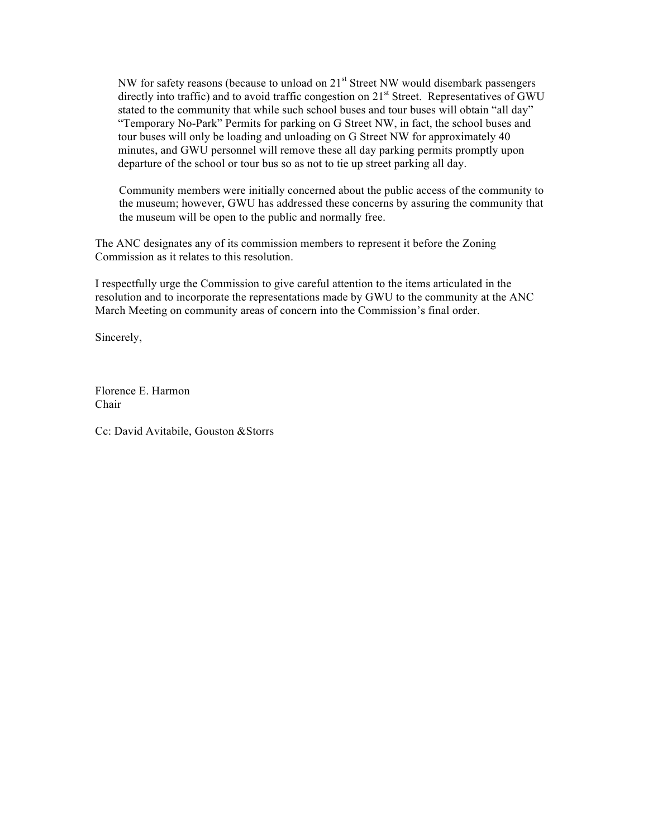NW for safety reasons (because to unload on  $21<sup>st</sup>$  Street NW would disembark passengers directly into traffic) and to avoid traffic congestion on  $21<sup>st</sup>$  Street. Representatives of GWU stated to the community that while such school buses and tour buses will obtain "all day" "Temporary No-Park" Permits for parking on G Street NW, in fact, the school buses and tour buses will only be loading and unloading on G Street NW for approximately 40 minutes, and GWU personnel will remove these all day parking permits promptly upon departure of the school or tour bus so as not to tie up street parking all day.

Community members were initially concerned about the public access of the community to the museum; however, GWU has addressed these concerns by assuring the community that the museum will be open to the public and normally free.

The ANC designates any of its commission members to represent it before the Zoning Commission as it relates to this resolution.

I respectfully urge the Commission to give careful attention to the items articulated in the resolution and to incorporate the representations made by GWU to the community at the ANC March Meeting on community areas of concern into the Commission's final order.

Sincerely,

Florence E. Harmon Chair

Cc: David Avitabile, Gouston &Storrs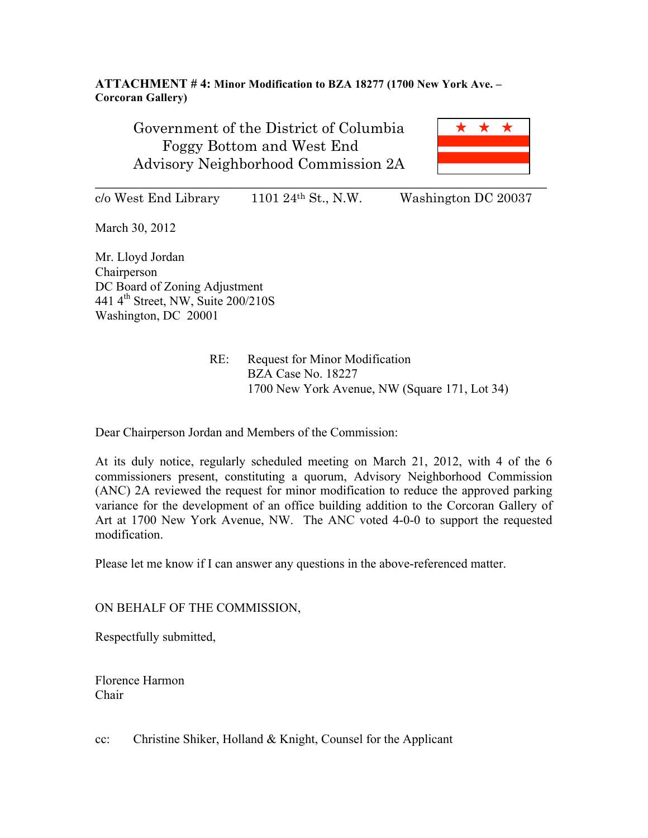### **ATTACHMENT # 4: Minor Modification to BZA 18277 (1700 New York Ave. – Corcoran Gallery)**

Government of the District of Columbia Foggy Bottom and West End Advisory Neighborhood Commission 2A



 $c/\sigma$  West End Library 1101 24<sup>th</sup> St., N.W. Washington DC 20037

March 30, 2012

Mr. Lloyd Jordan Chairperson DC Board of Zoning Adjustment 441  $4<sup>th</sup>$  Street, NW, Suite 200/210S Washington, DC 20001

> RE: Request for Minor Modification BZA Case No. 18227 1700 New York Avenue, NW (Square 171, Lot 34)

Dear Chairperson Jordan and Members of the Commission:

At its duly notice, regularly scheduled meeting on March 21, 2012, with 4 of the 6 commissioners present, constituting a quorum, Advisory Neighborhood Commission (ANC) 2A reviewed the request for minor modification to reduce the approved parking variance for the development of an office building addition to the Corcoran Gallery of Art at 1700 New York Avenue, NW. The ANC voted 4-0-0 to support the requested modification.

Please let me know if I can answer any questions in the above-referenced matter.

ON BEHALF OF THE COMMISSION,

Respectfully submitted,

Florence Harmon Chair

cc: Christine Shiker, Holland & Knight, Counsel for the Applicant